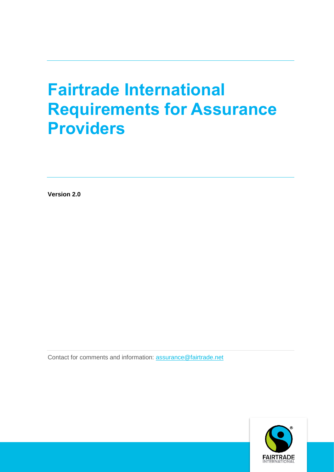# **Fairtrade International Requirements for Assurance Providers**

**Version 2.0**

Contact for comments and information: [assurance@fairtrade.net](mailto:assurance@fairtrade.net)

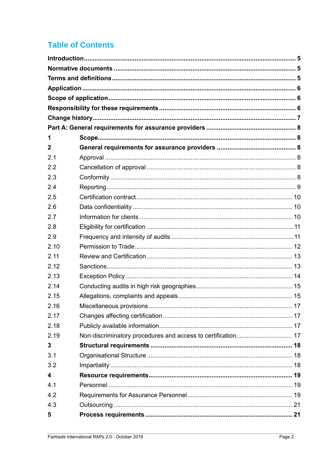# **Table of Contents**

| 1           |  |
|-------------|--|
| $\mathbf 2$ |  |
| 2.1         |  |
| 2.2         |  |
| 2.3         |  |
| 2.4         |  |
| 2.5         |  |
| 2.6         |  |
| 2.7         |  |
| 2.8         |  |
| 2.9         |  |
| 2.10        |  |
| 2.11        |  |
| 2.12        |  |
| 2.13        |  |
| 2.14        |  |
| 2.15        |  |
| 2.16        |  |
| 2.17        |  |
| 2.18        |  |
| 2.19        |  |
| 3           |  |
| 3.1         |  |
| 3.2         |  |
| 4           |  |
| 4.1         |  |
| 4.2         |  |
| 4.3         |  |
| 5           |  |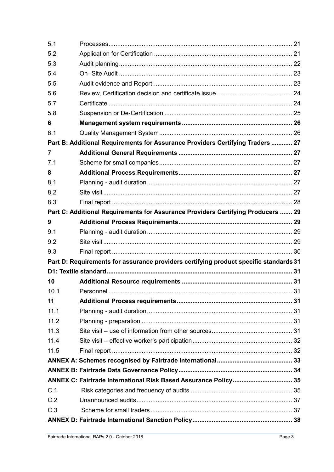| 5.1  |                                                                                       |    |
|------|---------------------------------------------------------------------------------------|----|
| 5.2  |                                                                                       |    |
| 5.3  |                                                                                       |    |
| 5.4  |                                                                                       |    |
| 5.5  |                                                                                       |    |
| 5.6  |                                                                                       |    |
| 5.7  |                                                                                       |    |
| 5.8  |                                                                                       |    |
| 6    |                                                                                       |    |
| 6.1  |                                                                                       |    |
|      | Part B: Additional Requirements for Assurance Providers Certifying Traders  27        |    |
| 7    |                                                                                       |    |
| 7.1  |                                                                                       |    |
| 8    |                                                                                       |    |
| 8.1  |                                                                                       |    |
| 8.2  |                                                                                       |    |
| 8.3  |                                                                                       |    |
|      | Part C: Additional Requirements for Assurance Providers Certifying Producers  29      |    |
| 9    |                                                                                       |    |
| 9.1  |                                                                                       |    |
| 9.2  |                                                                                       |    |
| 9.3  |                                                                                       |    |
|      | Part D: Requirements for assurance providers certifying product specific standards 31 |    |
|      |                                                                                       |    |
| 10   |                                                                                       |    |
| 10.1 | Personnel                                                                             | 31 |
| 11   |                                                                                       |    |
| 11.1 |                                                                                       |    |
| 11.2 |                                                                                       |    |
| 11.3 |                                                                                       |    |
| 11.4 |                                                                                       |    |
| 11.5 |                                                                                       |    |
|      |                                                                                       |    |
|      |                                                                                       |    |
|      | ANNEX C: Fairtrade International Risk Based Assurance Policy 35                       |    |
| C.1  |                                                                                       |    |
| C.2  |                                                                                       |    |
| C.3  |                                                                                       |    |
|      |                                                                                       |    |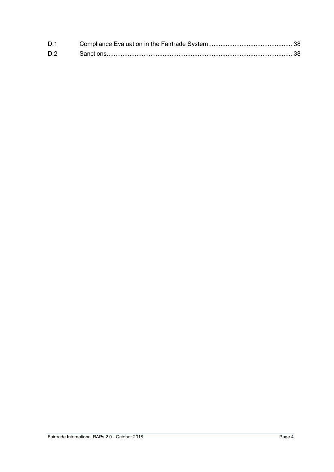| D.1 |  |
|-----|--|
| D.2 |  |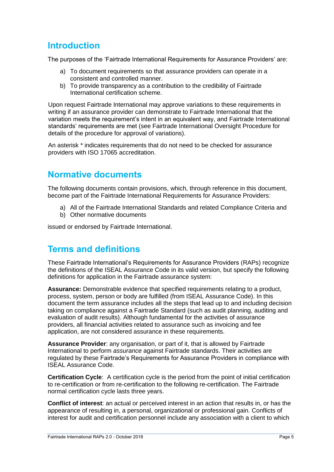# <span id="page-4-0"></span>**Introduction**

The purposes of the 'Fairtrade International Requirements for Assurance Providers' are:

- a) To document requirements so that assurance providers can operate in a consistent and controlled manner.
- b) To provide transparency as a contribution to the credibility of Fairtrade International certification scheme.

Upon request Fairtrade International may approve variations to these requirements in writing if an assurance provider can demonstrate to Fairtrade International that the variation meets the requirement's intent in an equivalent way, and Fairtrade International standards' requirements are met (see Fairtrade International Oversight Procedure for details of the procedure for approval of variations).

An asterisk \* indicates requirements that do not need to be checked for assurance providers with ISO 17065 accreditation.

# <span id="page-4-1"></span>**Normative documents**

The following documents contain provisions, which, through reference in this document, become part of the Fairtrade International Requirements for Assurance Providers:

- a) All of the Fairtrade International Standards and related Compliance Criteria and
- b) Other normative documents

issued or endorsed by Fairtrade International.

### <span id="page-4-2"></span>**Terms and definitions**

These Fairtrade International's Requirements for Assurance Providers (RAPs) recognize the definitions of the ISEAL Assurance Code in its valid version, but specify the following definitions for application in the Fairtrade assurance system:

**Assurance:** Demonstrable evidence that specified requirements relating to a product, process, system, person or body are fulfilled (from ISEAL Assurance Code). In this document the term assurance includes all the steps that lead up to and including decision taking on compliance against a Fairtrade Standard (such as audit planning, auditing and evaluation of audit results). Although fundamental for the activities of assurance providers, all financial activities related to assurance such as invoicing and fee application, are not considered assurance in these requirements.

**Assurance Provider**: any organisation, or part of it, that is allowed by Fairtrade International to perform *assurance* against Fairtrade standards. Their activities are regulated by these Fairtrade's Requirements for Assurance Providers in compliance with ISEAL Assurance Code.

**Certification Cycle**: A certification cycle is the period from the point of initial certification to re-certification or from re-certification to the following re-certification. The Fairtrade normal certification cycle lasts three years.

**Conflict of interest**: an actual or perceived interest in an action that results in, or has the appearance of resulting in, a personal, organizational or professional gain. Conflicts of interest for audit and certification personnel include any association with a client to which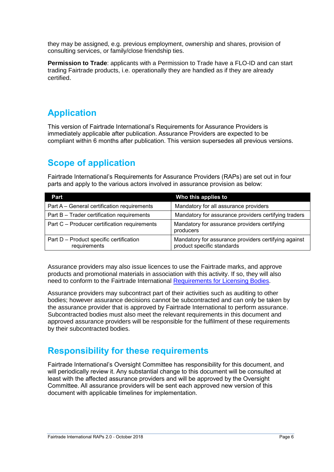they may be assigned, e.g. previous employment, ownership and shares, provision of consulting services, or family/close friendship ties.

**Permission to Trade**: applicants with a Permission to Trade have a FLO-ID and can start trading Fairtrade products, i.e. operationally they are handled as if they are already certified.

# <span id="page-5-0"></span>**Application**

This version of Fairtrade International's Requirements for Assurance Providers is immediately applicable after publication. Assurance Providers are expected to be compliant within 6 months after publication. This version supersedes all previous versions.

# <span id="page-5-1"></span>**Scope of application**

Fairtrade International's Requirements for Assurance Providers (RAPs) are set out in four parts and apply to the various actors involved in assurance provision as below:

| Part                                                    | Who this applies to                                                                |
|---------------------------------------------------------|------------------------------------------------------------------------------------|
| Part A - General certification requirements             | Mandatory for all assurance providers                                              |
| Part B - Trader certification requirements              | Mandatory for assurance providers certifying traders                               |
| Part C - Producer certification requirements            | Mandatory for assurance providers certifying<br>producers                          |
| Part D - Product specific certification<br>requirements | Mandatory for assurance providers certifying against<br>product specific standards |

Assurance providers may also issue licences to use the Fairtrade marks, and approve products and promotional materials in association with this activity. If so, they will also need to conform to the Fairtrade International [Requirements for Licensing Bodies.](https://files.fairtrade.net/standards/ASSU_ReqLicensingBodies_EN.pdf)

Assurance providers may subcontract part of their activities such as auditing to other bodies; however assurance decisions cannot be subcontracted and can only be taken by the assurance provider that is approved by Fairtrade International to perform assurance. Subcontracted bodies must also meet the relevant requirements in this document and approved assurance providers will be responsible for the fulfilment of these requirements by their subcontracted bodies.

# <span id="page-5-2"></span>**Responsibility for these requirements**

Fairtrade International's Oversight Committee has responsibility for this document, and will periodically review it. Any substantial change to this document will be consulted at least with the affected assurance providers and will be approved by the Oversight Committee. All assurance providers will be sent each approved new version of this document with applicable timelines for implementation.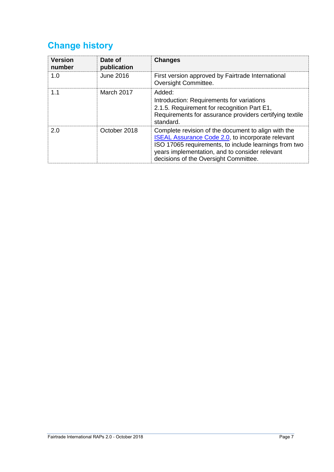# <span id="page-6-0"></span>**Change history**

| <b>Version</b><br>number | Date of<br>publication | <b>Changes</b>                                                                                                                                                                                                                                                      |
|--------------------------|------------------------|---------------------------------------------------------------------------------------------------------------------------------------------------------------------------------------------------------------------------------------------------------------------|
| 1.0                      | <b>June 2016</b>       | First version approved by Fairtrade International<br>Oversight Committee.                                                                                                                                                                                           |
| 1.1                      | March 2017             | Added:<br>Introduction: Requirements for variations<br>2.1.5. Requirement for recognition Part E1,<br>Requirements for assurance providers certifying textile<br>standard.                                                                                          |
| 2.0                      | October 2018           | Complete revision of the document to align with the<br><b>ISEAL Assurance Code 2.0, to incorporate relevant</b><br>ISO 17065 requirements, to include learnings from two<br>years implementation, and to consider relevant<br>decisions of the Oversight Committee. |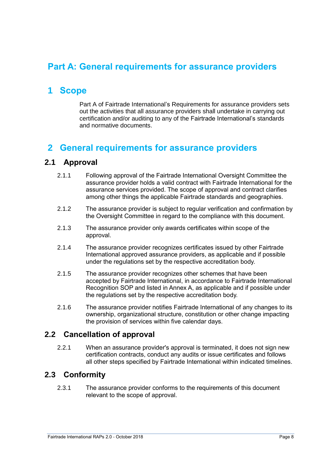# <span id="page-7-0"></span>**Part A: General requirements for assurance providers**

# <span id="page-7-1"></span>**1 Scope**

Part A of Fairtrade International's Requirements for assurance providers sets out the activities that all assurance providers shall undertake in carrying out certification and/or auditing to any of the Fairtrade International's standards and normative documents.

# <span id="page-7-2"></span>**2 General requirements for assurance providers**

#### <span id="page-7-3"></span>**2.1 Approval**

- 2.1.1 Following approval of the Fairtrade International Oversight Committee the assurance provider holds a valid contract with Fairtrade International for the assurance services provided. The scope of approval and contract clarifies among other things the applicable Fairtrade standards and geographies.
- 2.1.2 The assurance provider is subject to regular verification and confirmation by the Oversight Committee in regard to the compliance with this document.
- 2.1.3 The assurance provider only awards certificates within scope of the approval.
- 2.1.4 The assurance provider recognizes certificates issued by other Fairtrade International approved assurance providers, as applicable and if possible under the regulations set by the respective accreditation body.
- 2.1.5 The assurance provider recognizes other schemes that have been accepted by Fairtrade International, in accordance to Fairtrade International Recognition SOP and listed in Annex A, as applicable and if possible under the regulations set by the respective accreditation body.
- 2.1.6 The assurance provider notifies Fairtrade International of any changes to its ownership, organizational structure, constitution or other change impacting the provision of services within five calendar days.

### <span id="page-7-4"></span>**2.2 Cancellation of approval**

2.2.1 When an assurance provider's approval is terminated, it does not sign new certification contracts, conduct any audits or issue certificates and follows all other steps specified by Fairtrade International within indicated timelines.

### <span id="page-7-5"></span>**2.3 Conformity**

2.3.1 The assurance provider conforms to the requirements of this document relevant to the scope of approval.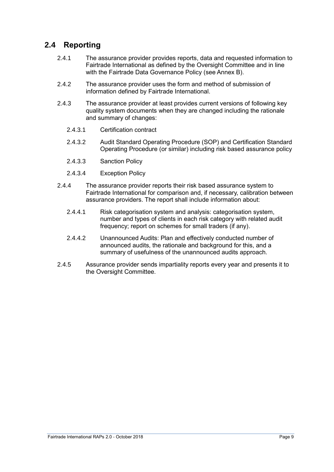### <span id="page-8-0"></span>**2.4 Reporting**

- 2.4.1 The assurance provider provides reports, data and requested information to Fairtrade International as defined by the Oversight Committee and in line with the Fairtrade Data Governance Policy (see Annex B).
- 2.4.2 The assurance provider uses the form and method of submission of information defined by Fairtrade International.
- 2.4.3 The assurance provider at least provides current versions of following key quality system documents when they are changed including the rationale and summary of changes:
	- 2.4.3.1 Certification contract
	- 2.4.3.2 Audit Standard Operating Procedure (SOP) and Certification Standard Operating Procedure (or similar) including risk based assurance policy
	- 2.4.3.3 Sanction Policy
	- 2.4.3.4 Exception Policy
- 2.4.4 The assurance provider reports their risk based assurance system to Fairtrade International for comparison and, if necessary, calibration between assurance providers. The report shall include information about:
	- 2.4.4.1 Risk categorisation system and analysis: categorisation system, number and types of clients in each risk category with related audit frequency; report on schemes for small traders (if any).
	- 2.4.4.2 Unannounced Audits: Plan and effectively conducted number of announced audits, the rationale and background for this, and a summary of usefulness of the unannounced audits approach.
- 2.4.5 Assurance provider sends impartiality reports every year and presents it to the Oversight Committee.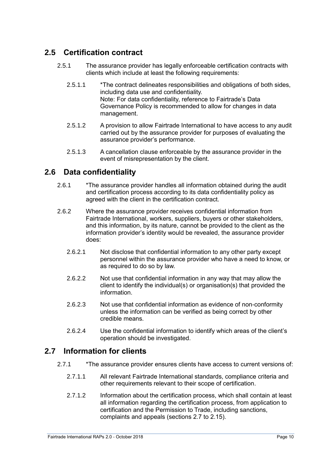### <span id="page-9-0"></span>**2.5 Certification contract**

- 2.5.1 The assurance provider has legally enforceable certification contracts with clients which include at least the following requirements:
	- 2.5.1.1 \*The contract delineates responsibilities and obligations of both sides, including data use and confidentiality. Note: For data confidentiality, reference to Fairtrade's Data Governance Policy is recommended to allow for changes in data management.
	- 2.5.1.2 A provision to allow Fairtrade International to have access to any audit carried out by the assurance provider for purposes of evaluating the assurance provider's performance.
	- 2.5.1.3 A cancellation clause enforceable by the assurance provider in the event of misrepresentation by the client.

### <span id="page-9-1"></span>**2.6 Data confidentiality**

- 2.6.1 \*The assurance provider handles all information obtained during the audit and certification process according to its data confidentiality policy as agreed with the client in the certification contract.
- 2.6.2 Where the assurance provider receives confidential information from Fairtrade International, workers, suppliers, buyers or other stakeholders, and this information, by its nature, cannot be provided to the client as the information provider's identity would be revealed, the assurance provider does:
	- 2.6.2.1 Not disclose that confidential information to any other party except personnel within the assurance provider who have a need to know, or as required to do so by law.
	- 2.6.2.2 Not use that confidential information in any way that may allow the client to identify the individual(s) or organisation(s) that provided the information.
	- 2.6.2.3 Not use that confidential information as evidence of non-conformity unless the information can be verified as being correct by other credible means.
	- 2.6.2.4 Use the confidential information to identify which areas of the client's operation should be investigated.

### <span id="page-9-2"></span>**2.7 Information for clients**

- 2.7.1 \*The assurance provider ensures clients have access to current versions of:
	- 2.7.1.1 All relevant Fairtrade International standards, compliance criteria and other requirements relevant to their scope of certification.
	- 2.7.1.2 Information about the certification process, which shall contain at least all information regarding the certification process, from application to certification and the Permission to Trade, including sanctions, complaints and appeals (sections 2.7 to 2.15).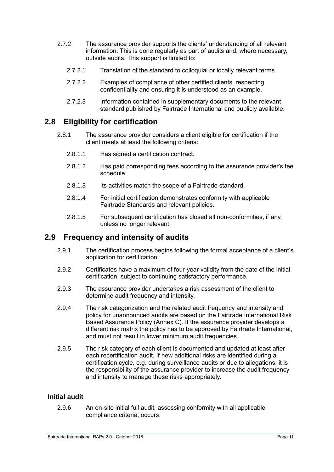- 2.7.2 The assurance provider supports the clients' understanding of all relevant information. This is done regularly as part of audits and, where necessary, outside audits. This support is limited to:
	- 2.7.2.1 Translation of the standard to colloquial or locally relevant terms.
	- 2.7.2.2 Examples of compliance of other certified clients, respecting confidentiality and ensuring it is understood as an example.
	- 2.7.2.3 Information contained in supplementary documents to the relevant standard published by Fairtrade International and publicly available.

### <span id="page-10-0"></span>**2.8 Eligibility for certification**

- 2.8.1 The assurance provider considers a client eligible for certification if the client meets at least the following criteria:
	- 2.8.1.1 Has signed a certification contract.
	- 2.8.1.2 Has paid corresponding fees according to the assurance provider's fee schedule.
	- 2.8.1.3 Its activities match the scope of a Fairtrade standard.
	- 2.8.1.4 For initial certification demonstrates conformity with applicable Fairtrade Standards and relevant policies.
	- 2.8.1.5 For subsequent certification has closed all non-conformities, if any, unless no longer relevant.

#### <span id="page-10-1"></span>**2.9 Frequency and intensity of audits**

- 2.9.1 The certification process begins following the formal acceptance of a client's application for certification.
- 2.9.2 Certificates have a maximum of four-year validity from the date of the initial certification, subject to continuing satisfactory performance.
- 2.9.3 The assurance provider undertakes a risk assessment of the client to determine audit frequency and intensity.
- 2.9.4 The risk categorization and the related audit frequency and intensity and policy for unannounced audits are based on the Fairtrade International Risk Based Assurance Policy (Annex C). If the assurance provider develops a different risk matrix the policy has to be approved by Fairtrade International, and must not result in lower minimum audit frequencies.
- 2.9.5 The risk category of each client is documented and updated at least after each recertification audit. If new additional risks are identified during a certification cycle, e.g. during surveillance audits or due to allegations, it is the responsibility of the assurance provider to increase the audit frequency and intensity to manage these risks appropriately.

#### **Initial audit**

2.9.6 An on-site initial full audit, assessing conformity with all applicable compliance criteria, occurs: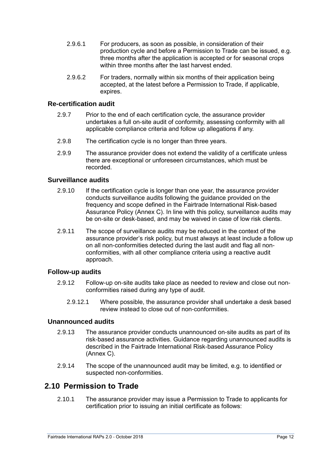- 2.9.6.1 For producers, as soon as possible, in consideration of their production cycle and before a Permission to Trade can be issued, e.g. three months after the application is accepted or for seasonal crops within three months after the last harvest ended
- 2.9.6.2 For traders, normally within six months of their application being accepted, at the latest before a Permission to Trade, if applicable, expires.

#### **Re-certification audit**

- 2.9.7 Prior to the end of each certification cycle, the assurance provider undertakes a full on-site audit of conformity, assessing conformity with all applicable compliance criteria and follow up allegations if any.
- 2.9.8 The certification cycle is no longer than three years.
- 2.9.9 The assurance provider does not extend the validity of a certificate unless there are exceptional or unforeseen circumstances, which must be recorded.

#### **Surveillance audits**

- 2.9.10 If the certification cycle is longer than one year, the assurance provider conducts surveillance audits following the guidance provided on the frequency and scope defined in the Fairtrade International Risk-based Assurance Policy (Annex C). In line with this policy, surveillance audits may be on-site or desk-based, and may be waived in case of low risk clients.
- 2.9.11 The scope of surveillance audits may be reduced in the context of the assurance provider's risk policy, but must always at least include a follow up on all non-conformities detected during the last audit and flag all nonconformities, with all other compliance criteria using a reactive audit approach.

#### **Follow-up audits**

- 2.9.12 Follow-up on-site audits take place as needed to review and close out nonconformities raised during any type of audit.
	- 2.9.12.1 Where possible, the assurance provider shall undertake a desk based review instead to close out of non-conformities.

#### **Unannounced audits**

- 2.9.13 The assurance provider conducts unannounced on-site audits as part of its risk-based assurance activities. Guidance regarding unannounced audits is described in the Fairtrade International Risk-based Assurance Policy (Annex C).
- 2.9.14 The scope of the unannounced audit may be limited, e.g. to identified or suspected non-conformities.

### <span id="page-11-0"></span>**2.10 Permission to Trade**

2.10.1 The assurance provider may issue a Permission to Trade to applicants for certification prior to issuing an initial certificate as follows: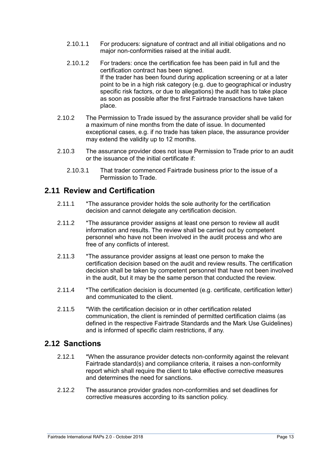- 2.10.1.1 For producers: signature of contract and all initial obligations and no major non-conformities raised at the initial audit.
- 2.10.1.2 For traders: once the certification fee has been paid in full and the certification contract has been signed. If the trader has been found during application screening or at a later point to be in a high risk category (e.g. due to geographical or industry specific risk factors, or due to allegations) the audit has to take place as soon as possible after the first Fairtrade transactions have taken place.
- 2.10.2 The Permission to Trade issued by the assurance provider shall be valid for a maximum of nine months from the date of issue. In documented exceptional cases, e.g. if no trade has taken place, the assurance provider may extend the validity up to 12 months.
- 2.10.3 The assurance provider does not issue Permission to Trade prior to an audit or the issuance of the initial certificate if:
	- 2.10.3.1 That trader commenced Fairtrade business prior to the issue of a Permission to Trade.

### <span id="page-12-0"></span>**2.11 Review and Certification**

- 2.11.1 \*The assurance provider holds the sole authority for the certification decision and cannot delegate any certification decision.
- 2.11.2 \*The assurance provider assigns at least one person to review all audit information and results. The review shall be carried out by competent personnel who have not been involved in the audit process and who are free of any conflicts of interest.
- 2.11.3 \*The assurance provider assigns at least one person to make the certification decision based on the audit and review results. The certification decision shall be taken by competent personnel that have not been involved in the audit, but it may be the same person that conducted the review.
- 2.11.4 \*The certification decision is documented (e.g. certificate, certification letter) and communicated to the client.
- 2.11.5 \*With the certification decision or in other certification related communication, the client is reminded of permitted certification claims (as defined in the respective Fairtrade Standards and the Mark Use Guidelines) and is informed of specific claim restrictions, if any.

### <span id="page-12-1"></span>**2.12 Sanctions**

- 2.12.1 \*When the assurance provider detects non-conformity against the relevant Fairtrade standard(s) and compliance criteria, it raises a non-conformity report which shall require the client to take effective corrective measures and determines the need for sanctions.
- 2.12.2 The assurance provider grades non-conformities and set deadlines for corrective measures according to its sanction policy.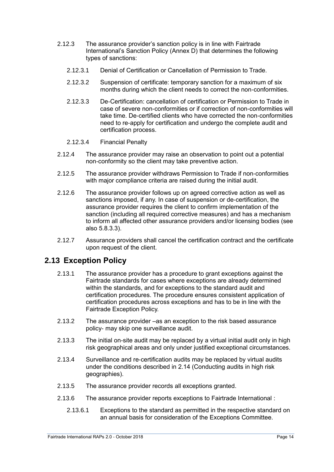- 2.12.3 The assurance provider's sanction policy is in line with Fairtrade International's Sanction Policy (Annex D) that determines the following types of sanctions:
	- 2.12.3.1 Denial of Certification or Cancellation of Permission to Trade.
	- 2.12.3.2 Suspension of certificate: temporary sanction for a maximum of six months during which the client needs to correct the non-conformities.
	- 2.12.3.3 De-Certification: cancellation of certification or Permission to Trade in case of severe non-conformities or if correction of non-conformities will take time. De-certified clients who have corrected the non-conformities need to re-apply for certification and undergo the complete audit and certification process.
	- 2.12.3.4 Financial Penalty
- 2.12.4 The assurance provider may raise an observation to point out a potential non-conformity so the client may take preventive action.
- 2.12.5 The assurance provider withdraws Permission to Trade if non-conformities with major compliance criteria are raised during the initial audit.
- 2.12.6 The assurance provider follows up on agreed corrective action as well as sanctions imposed, if any. In case of suspension or de-certification, the assurance provider requires the client to confirm implementation of the sanction (including all required corrective measures) and has a mechanism to inform all affected other assurance providers and/or licensing bodies (see also 5.8.3.3).
- 2.12.7 Assurance providers shall cancel the certification contract and the certificate upon request of the client.

### <span id="page-13-0"></span>**2.13 Exception Policy**

- 2.13.1 The assurance provider has a procedure to grant exceptions against the Fairtrade standards for cases where exceptions are already determined within the standards, and for exceptions to the standard audit and certification procedures. The procedure ensures consistent application of certification procedures across exceptions and has to be in line with the Fairtrade Exception Policy.
- 2.13.2 The assurance provider –as an exception to the risk based assurance policy- may skip one surveillance audit.
- 2.13.3 The initial on-site audit may be replaced by a virtual initial audit only in high risk geographical areas and only under justified exceptional circumstances.
- 2.13.4 Surveillance and re-certification audits may be replaced by virtual audits under the conditions described in 2.14 (Conducting audits in high risk geographies).
- 2.13.5 The assurance provider records all exceptions granted.
- 2.13.6 The assurance provider reports exceptions to Fairtrade International :
	- 2.13.6.1 Exceptions to the standard as permitted in the respective standard on an annual basis for consideration of the Exceptions Committee.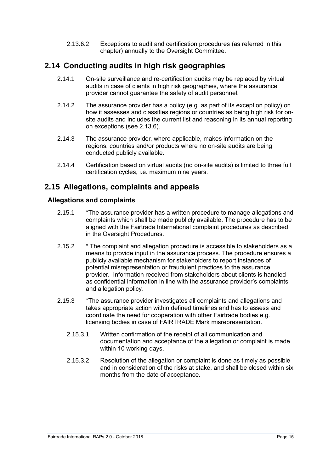2.13.6.2 Exceptions to audit and certification procedures (as referred in this chapter) annually to the Oversight Committee.

### <span id="page-14-0"></span>**2.14 Conducting audits in high risk geographies**

- 2.14.1 On-site surveillance and re-certification audits may be replaced by virtual audits in case of clients in high risk geographies, where the assurance provider cannot guarantee the safety of audit personnel.
- 2.14.2 The assurance provider has a policy (e.g. as part of its exception policy) on how it assesses and classifies regions or countries as being high risk for onsite audits and includes the current list and reasoning in its annual reporting on exceptions (see 2.13.6).
- 2.14.3 The assurance provider, where applicable, makes information on the regions, countries and/or products where no on-site audits are being conducted publicly available.
- 2.14.4 Certification based on virtual audits (no on-site audits) is limited to three full certification cycles, i.e. maximum nine years.

### <span id="page-14-1"></span>**2.15 Allegations, complaints and appeals**

#### **Allegations and complaints**

- 2.15.1 \*The assurance provider has a written procedure to manage allegations and complaints which shall be made publicly available. The procedure has to be aligned with the Fairtrade International complaint procedures as described in the Oversight Procedures.
- 2.15.2 \* The complaint and allegation procedure is accessible to stakeholders as a means to provide input in the assurance process. The procedure ensures a publicly available mechanism for stakeholders to report instances of potential misrepresentation or fraudulent practices to the assurance provider. Information received from stakeholders about clients is handled as confidential information in line with the assurance provider's complaints and allegation policy.
- 2.15.3 \*The assurance provider investigates all complaints and allegations and takes appropriate action within defined timelines and has to assess and coordinate the need for cooperation with other Fairtrade bodies e.g. licensing bodies in case of FAIRTRADE Mark misrepresentation.
	- 2.15.3.1 Written confirmation of the receipt of all communication and documentation and acceptance of the allegation or complaint is made within 10 working days.
	- 2.15.3.2 Resolution of the allegation or complaint is done as timely as possible and in consideration of the risks at stake, and shall be closed within six months from the date of acceptance.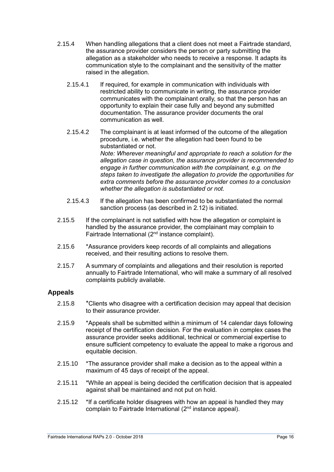- 2.15.4 When handling allegations that a client does not meet a Fairtrade standard, the assurance provider considers the person or party submitting the allegation as a stakeholder who needs to receive a response. It adapts its communication style to the complainant and the sensitivity of the matter raised in the allegation.
	- 2.15.4.1 If required, for example in communication with individuals with restricted ability to communicate in writing, the assurance provider communicates with the complainant orally, so that the person has an opportunity to explain their case fully and beyond any submitted documentation. The assurance provider documents the oral communication as well.
	- 2.15.4.2 The complainant is at least informed of the outcome of the allegation procedure, i.e. whether the allegation had been found to be substantiated or not. *Note: Wherever meaningful and appropriate to reach a solution for the allegation case in question, the assurance provider is recommended to engage in further communication with the complainant, e.g. on the steps taken to investigate the allegation to provide the opportunities for extra comments before the assurance provider comes to a conclusion whether the allegation is substantiated or not.*
	- 2.15.4.3 If the allegation has been confirmed to be substantiated the normal sanction process (as described in 2.12) is initiated.
- 2.15.5 If the complainant is not satisfied with how the allegation or complaint is handled by the assurance provider, the complainant may complain to Fairtrade International (2nd instance complaint).
- 2.15.6 \*Assurance providers keep records of all complaints and allegations received, and their resulting actions to resolve them.
- 2.15.7 A summary of complaints and allegations and their resolution is reported annually to Fairtrade International, who will make a summary of all resolved complaints publicly available.

#### **Appeals**

- 2.15.8 \*Clients who disagree with a certification decision may appeal that decision to their assurance provider.
- 2.15.9 \*Appeals shall be submitted within a minimum of 14 calendar days following receipt of the certification decision. For the evaluation in complex cases the assurance provider seeks additional, technical or commercial expertise to ensure sufficient competency to evaluate the appeal to make a rigorous and equitable decision.
- 2.15.10 \*The assurance provider shall make a decision as to the appeal within a maximum of 45 days of receipt of the appeal.
- 2.15.11 \*While an appeal is being decided the certification decision that is appealed against shall be maintained and not put on hold.
- 2.15.12 \*If a certificate holder disagrees with how an appeal is handled they may complain to Fairtrade International (2nd instance appeal).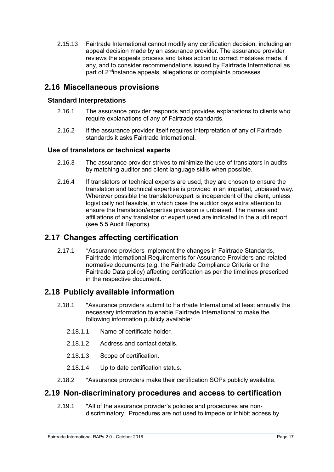2.15.13 Fairtrade International cannot modify any certification decision, including an appeal decision made by an assurance provider. The assurance provider reviews the appeals process and takes action to correct mistakes made, if any, and to consider recommendations issued by Fairtrade International as part of 2<sup>nd</sup>instance appeals, allegations or complaints processes

### <span id="page-16-0"></span>**2.16 Miscellaneous provisions**

#### **Standard Interpretations**

- 2.16.1 The assurance provider responds and provides explanations to clients who require explanations of any of Fairtrade standards.
- 2.16.2 If the assurance provider itself requires interpretation of any of Fairtrade standards it asks Fairtrade International.

#### **Use of translators or technical experts**

- 2.16.3 The assurance provider strives to minimize the use of translators in audits by matching auditor and client language skills when possible.
- 2.16.4 If translators or technical experts are used, they are chosen to ensure the translation and technical expertise is provided in an impartial, unbiased way. Wherever possible the translator/expert is independent of the client, unless logistically not feasible, in which case the auditor pays extra attention to ensure the translation/expertise provision is unbiased. The names and affiliations of any translator or expert used are indicated in the audit report (see 5.5 Audit Reports).

### <span id="page-16-1"></span>**2.17 Changes affecting certification**

2.17.1 \*Assurance providers implement the changes in Fairtrade Standards, Fairtrade International Requirements for Assurance Providers and related normative documents (e.g. the Fairtrade Compliance Criteria or the Fairtrade Data policy) affecting certification as per the timelines prescribed in the respective document.

### <span id="page-16-2"></span>**2.18 Publicly available information**

- 2.18.1 \*Assurance providers submit to Fairtrade International at least annually the necessary information to enable Fairtrade International to make the following information publicly available:
	- 2.18.1.1 Name of certificate holder.
	- 2.18.1.2 Address and contact details.
	- 2.18.1.3 Scope of certification.
	- 2.18.1.4 Up to date certification status.
- 2.18.2 \*Assurance providers make their certification SOPs publicly available.

#### <span id="page-16-3"></span>**2.19 Non-discriminatory procedures and access to certification**

2.19.1 \*All of the assurance provider's policies and procedures are nondiscriminatory. Procedures are not used to impede or inhibit access by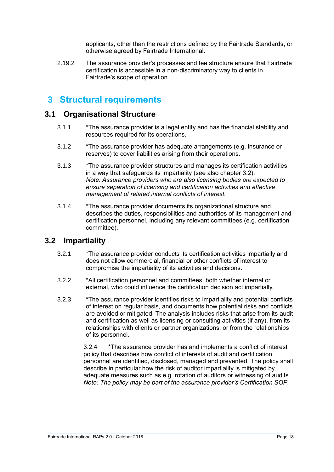applicants, other than the restrictions defined by the Fairtrade Standards, or otherwise agreed by Fairtrade International.

2.19.2 The assurance provider's processes and fee structure ensure that Fairtrade certification is accessible in a non-discriminatory way to clients in Fairtrade's scope of operation.

## <span id="page-17-0"></span>**3 Structural requirements**

#### <span id="page-17-1"></span>**3.1 Organisational Structure**

- 3.1.1 \*The assurance provider is a legal entity and has the financial stability and resources required for its operations.
- 3.1.2 \*The assurance provider has adequate arrangements (e.g. insurance or reserves) to cover liabilities arising from their operations.
- 3.1.3 \*The assurance provider structures and manages its certification activities in a way that safeguards its impartiality (see also chapter 3.2). *Note: Assurance providers who are also licensing bodies are expected to ensure separation of licensing and certification activities and effective management of related internal conflicts of interest.*
- 3.1.4 \*The assurance provider documents its organizational structure and describes the duties, responsibilities and authorities of its management and certification personnel, including any relevant committees (e.g. certification committee).

#### <span id="page-17-2"></span>**3.2 Impartiality**

- 3.2.1 \*The assurance provider conducts its certification activities impartially and does not allow commercial, financial or other conflicts of interest to compromise the impartiality of its activities and decisions.
- 3.2.2 \*All certification personnel and committees, both whether internal or external, who could influence the certification decision act impartially.
- 3.2.3 \*The assurance provider identifies risks to impartiality and potential conflicts of interest on regular basis, and documents how potential risks and conflicts are avoided or mitigated. The analysis includes risks that arise from its audit and certification as well as licensing or consulting activities (if any), from its relationships with clients or partner organizations, or from the relationships of its personnel.

3.2.4 \*The assurance provider has and implements a conflict of interest policy that describes how conflict of interests of audit and certification personnel are identified, disclosed, managed and prevented. The policy shall describe in particular how the risk of auditor impartiality is mitigated by adequate measures such as e.g. rotation of auditors or witnessing of audits. *Note: The policy may be part of the assurance provider's Certification SOP.*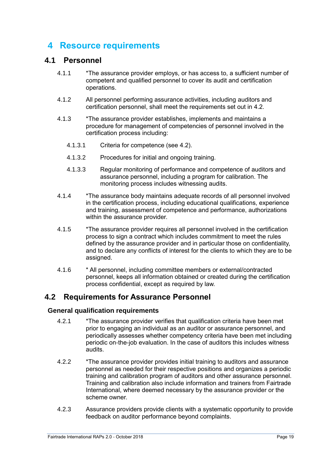# <span id="page-18-0"></span>**4 Resource requirements**

### <span id="page-18-1"></span>**4.1 Personnel**

- 4.1.1 \*The assurance provider employs, or has access to, a sufficient number of competent and qualified personnel to cover its audit and certification operations.
- 4.1.2 All personnel performing assurance activities, including auditors and certification personnel, shall meet the requirements set out in 4.2.
- 4.1.3 \*The assurance provider establishes, implements and maintains a procedure for management of competencies of personnel involved in the certification process including:
	- 4.1.3.1 Criteria for competence (see 4.2).
	- 4.1.3.2 Procedures for initial and ongoing training.
	- 4.1.3.3 Regular monitoring of performance and competence of auditors and assurance personnel, including a program for calibration. The monitoring process includes witnessing audits.
- 4.1.4 \*The assurance body maintains adequate records of all personnel involved in the certification process, including educational qualifications, experience and training, assessment of competence and performance, authorizations within the assurance provider.
- 4.1.5 \*The assurance provider requires all personnel involved in the certification process to sign a contract which includes commitment to meet the rules defined by the assurance provider and in particular those on confidentiality, and to declare any conflicts of interest for the clients to which they are to be assigned.
- 4.1.6 \* All personnel, including committee members or external/contracted personnel, keeps all information obtained or created during the certification process confidential, except as required by law.

#### <span id="page-18-2"></span>**4.2 Requirements for Assurance Personnel**

#### **General qualification requirements**

- 4.2.1 \*The assurance provider verifies that qualification criteria have been met prior to engaging an individual as an auditor or assurance personnel, and periodically assesses whether competency criteria have been met including periodic on-the-job evaluation. In the case of auditors this includes witness audits.
- 4.2.2 \*The assurance provider provides initial training to auditors and assurance personnel as needed for their respective positions and organizes a periodic training and calibration program of auditors and other assurance personnel. Training and calibration also include information and trainers from Fairtrade International, where deemed necessary by the assurance provider or the scheme owner.
- 4.2.3 Assurance providers provide clients with a systematic opportunity to provide feedback on auditor performance beyond complaints.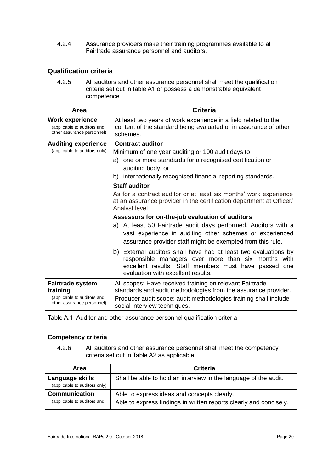4.2.4 Assurance providers make their training programmes available to all Fairtrade assurance personnel and auditors.

#### **Qualification criteria**

4.2.5 All auditors and other assurance personnel shall meet the qualification criteria set out in table A1 or possess a demonstrable equivalent competence.

| Area                                                                                | <b>Criteria</b>                                                                                                                                                                                                       |
|-------------------------------------------------------------------------------------|-----------------------------------------------------------------------------------------------------------------------------------------------------------------------------------------------------------------------|
| <b>Work experience</b><br>(applicable to auditors and<br>other assurance personnel) | At least two years of work experience in a field related to the<br>content of the standard being evaluated or in assurance of other<br>schemes.                                                                       |
| <b>Auditing experience</b>                                                          | <b>Contract auditor</b>                                                                                                                                                                                               |
| (applicable to auditors only)                                                       | Minimum of one year auditing or 100 audit days to                                                                                                                                                                     |
|                                                                                     | a) one or more standards for a recognised certification or<br>auditing body, or                                                                                                                                       |
|                                                                                     | b) internationally recognised financial reporting standards.                                                                                                                                                          |
|                                                                                     | <b>Staff auditor</b>                                                                                                                                                                                                  |
|                                                                                     | As for a contract auditor or at least six months' work experience<br>at an assurance provider in the certification department at Officer/<br>Analyst level                                                            |
|                                                                                     | Assessors for on-the-job evaluation of auditors                                                                                                                                                                       |
|                                                                                     | a) At least 50 Fairtrade audit days performed. Auditors with a<br>vast experience in auditing other schemes or experienced<br>assurance provider staff might be exempted from this rule.                              |
|                                                                                     | b) External auditors shall have had at least two evaluations by<br>responsible managers over more than six months with<br>excellent results. Staff members must have passed one<br>evaluation with excellent results. |
| <b>Fairtrade system</b><br>training                                                 | All scopes: Have received training on relevant Fairtrade<br>standards and audit methodologies from the assurance provider.                                                                                            |
| (applicable to auditors and<br>other assurance personnel)                           | Producer audit scope: audit methodologies training shall include<br>social interview techniques.                                                                                                                      |

Table A.1: Auditor and other assurance personnel qualification criteria

#### **Competency criteria**

4.2.6 All auditors and other assurance personnel shall meet the competency criteria set out in Table A2 as applicable.

| Area                                                | <b>Criteria</b>                                                                                                   |
|-----------------------------------------------------|-------------------------------------------------------------------------------------------------------------------|
| Language skills<br>(applicable to auditors only)    | Shall be able to hold an interview in the language of the audit.                                                  |
| <b>Communication</b><br>(applicable to auditors and | Able to express ideas and concepts clearly.<br>Able to express findings in written reports clearly and concisely. |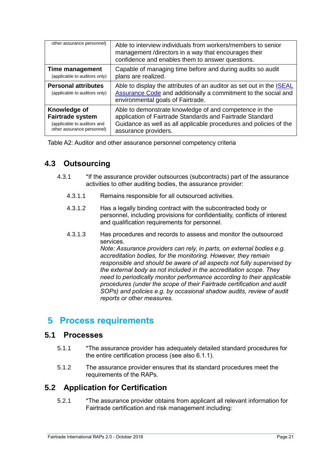| other assurance personnel)                                  | Able to interview individuals from workers/members to senior<br>management /directors in a way that encourages their<br>confidence and enables them to answer questions.                  |
|-------------------------------------------------------------|-------------------------------------------------------------------------------------------------------------------------------------------------------------------------------------------|
| Time management                                             | Capable of managing time before and during audits so audit                                                                                                                                |
| (applicable to auditors only)                               | plans are realized.                                                                                                                                                                       |
| <b>Personal attributes</b><br>(applicable to auditors only) | Able to display the attributes of an auditor as set out in the <b>ISEAL</b><br><b>Assurance Code and additionally a commitment to the social and</b><br>environmental goals of Fairtrade. |
| Knowledge of                                                | Able to demonstrate knowledge of and competence in the                                                                                                                                    |
| <b>Fairtrade system</b>                                     | application of Fairtrade Standards and Fairtrade Standard                                                                                                                                 |
| (applicable to auditors and                                 | Guidance as well as all applicable procedures and policies of the                                                                                                                         |
| other assurance personnel)                                  | assurance providers.                                                                                                                                                                      |

Table A2: Auditor and other assurance personnel competency criteria

### <span id="page-20-0"></span>**4.3 Outsourcing**

- 4.3.1 \*If the assurance provider outsources (subcontracts) part of the assurance activities to other auditing bodies, the assurance provider:
	- 4.3.1.1 Remains responsible for all outsourced activities.
	- 4.3.1.2 Has a legally binding contract with the subcontracted body or personnel, including provisions for confidentiality, conflicts of interest and qualification requirements for personnel.
	- 4.3.1.3 Has procedures and records to assess and monitor the outsourced services.

*Note: Assurance providers can rely, in parts, on external bodies e.g. accreditation bodies, for the monitoring. However, they remain responsible and should be aware of all aspects not fully supervised by the external body as not included in the accreditation scope. They need to periodically monitor performance according to their applicable procedures (under the scope of their Fairtrade certification and audit SOPs) and policies e.g. by occasional shadow audits, review of audit reports or other measures.* 

### <span id="page-20-1"></span>**5 Process requirements**

#### <span id="page-20-2"></span>**5.1 Processes**

- 5.1.1 \*The assurance provider has adequately detailed standard procedures for the entire certification process (see also 6.1.1).
- 5.1.2 The assurance provider ensures that its standard procedures meet the requirements of the RAPs.

### <span id="page-20-3"></span>**5.2 Application for Certification**

5.2.1 \*The assurance provider obtains from applicant all relevant information for Fairtrade certification and risk management including: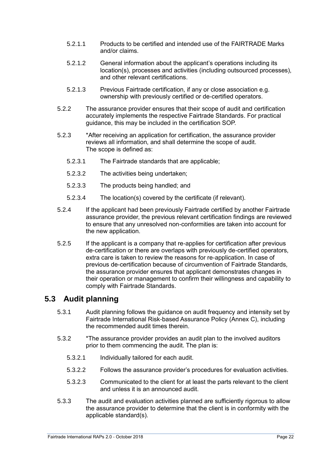- 5.2.1.1 Products to be certified and intended use of the FAIRTRADE Marks and/or claims.
- 5.2.1.2 General information about the applicant's operations including its location(s), processes and activities (including outsourced processes), and other relevant certifications.
- 5.2.1.3 Previous Fairtrade certification, if any or close association e.g. ownership with previously certified or de-certified operators.
- 5.2.2 The assurance provider ensures that their scope of audit and certification accurately implements the respective Fairtrade Standards. For practical guidance, this may be included in the certification SOP.
- 5.2.3 \*After receiving an application for certification, the assurance provider reviews all information, and shall determine the scope of audit. The scope is defined as:
	- 5.2.3.1 The Fairtrade standards that are applicable;
	- 5.2.3.2 The activities being undertaken;
	- 5.2.3.3 The products being handled; and
	- 5.2.3.4 The location(s) covered by the certificate (if relevant).
- 5.2.4 If the applicant had been previously Fairtrade certified by another Fairtrade assurance provider, the previous relevant certification findings are reviewed to ensure that any unresolved non-conformities are taken into account for the new application.
- 5.2.5 If the applicant is a company that re-applies for certification after previous de-certification or there are overlaps with previously de-certified operators, extra care is taken to review the reasons for re-application. In case of previous de-certification because of circumvention of Fairtrade Standards, the assurance provider ensures that applicant demonstrates changes in their operation or management to confirm their willingness and capability to comply with Fairtrade Standards.

### <span id="page-21-0"></span>**5.3 Audit planning**

- 5.3.1 Audit planning follows the guidance on audit frequency and intensity set by Fairtrade International Risk-based Assurance Policy (Annex C), including the recommended audit times therein.
- 5.3.2 \*The assurance provider provides an audit plan to the involved auditors prior to them commencing the audit. The plan is:
	- 5.3.2.1 Individually tailored for each audit.
	- 5.3.2.2 Follows the assurance provider's procedures for evaluation activities.
	- 5.3.2.3 Communicated to the client for at least the parts relevant to the client and unless it is an announced audit.
- 5.3.3 The audit and evaluation activities planned are sufficiently rigorous to allow the assurance provider to determine that the client is in conformity with the applicable standard(s).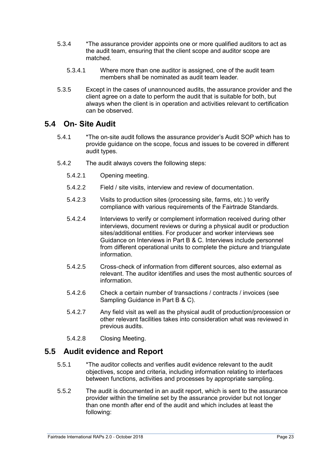- 5.3.4 \*The assurance provider appoints one or more qualified auditors to act as the audit team, ensuring that the client scope and auditor scope are matched.
	- 5.3.4.1 Where more than one auditor is assigned, one of the audit team members shall be nominated as audit team leader.
- 5.3.5 Except in the cases of unannounced audits, the assurance provider and the client agree on a date to perform the audit that is suitable for both, but always when the client is in operation and activities relevant to certification can be observed.

### <span id="page-22-0"></span>**5.4 On- Site Audit**

- 5.4.1 \*The on-site audit follows the assurance provider's Audit SOP which has to provide guidance on the scope, focus and issues to be covered in different audit types.
- 5.4.2 The audit always covers the following steps:
	- 5.4.2.1 Opening meeting.
	- 5.4.2.2 Field / site visits, interview and review of documentation.
	- 5.4.2.3 Visits to production sites (processing site, farms, etc.) to verify compliance with various requirements of the Fairtrade Standards.
	- 5.4.2.4 Interviews to verify or complement information received during other interviews, document reviews or during a physical audit or production sites/additional entities. For producer and worker interviews see Guidance on Interviews in Part B & C. Interviews include personnel from different operational units to complete the picture and triangulate information.
	- 5.4.2.5 Cross-check of information from different sources, also external as relevant. The auditor identifies and uses the most authentic sources of information.
	- 5.4.2.6 Check a certain number of transactions / contracts / invoices (see Sampling Guidance in Part B & C).
	- 5.4.2.7 Any field visit as well as the physical audit of production/procession or other relevant facilities takes into consideration what was reviewed in previous audits.
	- 5.4.2.8 Closing Meeting.

#### <span id="page-22-1"></span>**5.5 Audit evidence and Report**

- 5.5.1 \*The auditor collects and verifies audit evidence relevant to the audit objectives, scope and criteria, including information relating to interfaces between functions, activities and processes by appropriate sampling.
- 5.5.2 The audit is documented in an audit report, which is sent to the assurance provider within the timeline set by the assurance provider but not longer than one month after end of the audit and which includes at least the following: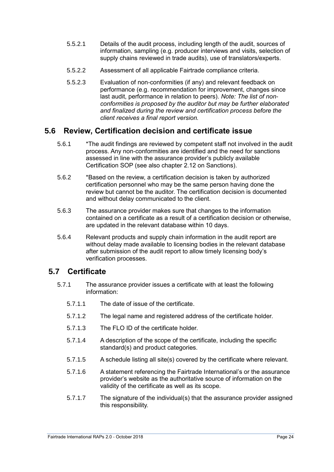- 5.5.2.1 Details of the audit process, including length of the audit, sources of information, sampling (e.g. producer interviews and visits, selection of supply chains reviewed in trade audits), use of translators/experts.
- 5.5.2.2 Assessment of all applicable Fairtrade compliance criteria.
- 5.5.2.3 Evaluation of non-conformities (if any) and relevant feedback on performance (e.g. recommendation for improvement, changes since last audit, performance in relation to peers). *Note: The list of nonconformities is proposed by the auditor but may be further elaborated and finalized during the review and certification process before the client receives a final report version.*

### <span id="page-23-0"></span>**5.6 Review, Certification decision and certificate issue**

- 5.6.1 \*The audit findings are reviewed by competent staff not involved in the audit process. Any non-conformities are identified and the need for sanctions assessed in line with the assurance provider's publicly available Certification SOP (see also chapter 2.12 on Sanctions).
- 5.6.2 \*Based on the review, a certification decision is taken by authorized certification personnel who may be the same person having done the review but cannot be the auditor. The certification decision is documented and without delay communicated to the client.
- 5.6.3 The assurance provider makes sure that changes to the information contained on a certificate as a result of a certification decision or otherwise, are updated in the relevant database within 10 days.
- 5.6.4 Relevant products and supply chain information in the audit report are without delay made available to licensing bodies in the relevant database after submission of the audit report to allow timely licensing body's verification processes.

### <span id="page-23-1"></span>**5.7 Certificate**

- 5.7.1 The assurance provider issues a certificate with at least the following information:
	- 5.7.1.1 The date of issue of the certificate.
	- 5.7.1.2 The legal name and registered address of the certificate holder.
	- 5.7.1.3 The FLO ID of the certificate holder.
	- 5.7.1.4 A description of the scope of the certificate, including the specific standard(s) and product categories.
	- 5.7.1.5 A schedule listing all site(s) covered by the certificate where relevant.
	- 5.7.1.6 A statement referencing the Fairtrade International's or the assurance provider's website as the authoritative source of information on the validity of the certificate as well as its scope.
	- 5.7.1.7 The signature of the individual(s) that the assurance provider assigned this responsibility.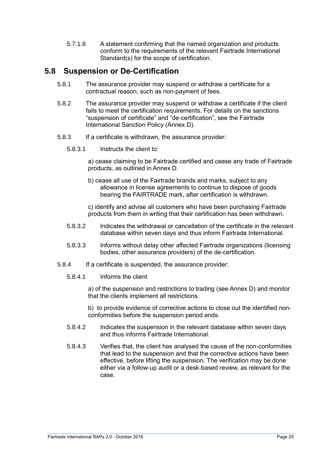5.7.1.8 A statement confirming that the named organization and products conform to the requirements of the relevant Fairtrade International Standard(s) for the scope of certification.

### <span id="page-24-0"></span>**5.8 Suspension or De-Certification**

- 5.8.1 The assurance provider may suspend or withdraw a certificate for a contractual reason, such as non-payment of fees.
- 5.8.2 The assurance provider may suspend or withdraw a certificate if the client fails to meet the certification requirements. For details on the sanctions "suspension of certificate" and "de-certification", see the Fairtrade International Sanction Policy (Annex D).
- 5.8.3 If a certificate is withdrawn, the assurance provider:
	- 5.8.3.1 Instructs the client to:

a) cease claiming to be Fairtrade certified and cease any trade of Fairtrade products, as outlined in Annex D.

b) cease all use of the Fairtrade brands and marks, subject to any allowance in license agreements to continue to dispose of goods bearing the FAIRTRADE mark, after certification is withdrawn.

c) identify and advise all customers who have been purchasing Fairtrade products from them in writing that their certification has been withdrawn.

- 5.8.3.2 Indicates the withdrawal or cancellation of the certificate in the relevant database within seven days and thus inform Fairtrade International.
- 5.8.3.3 Informs without delay other affected Fairtrade organizations (licensing bodies, other assurance providers) of the de-certification.
- 5.8.4 If a certificate is suspended, the assurance provider:
	- 5.8.4.1 Informs the client

a) of the suspension and restrictions to trading (see Annex D) and monitor that the clients implement all restrictions.

b) to provide evidence of corrective actions to close out the identified nonconformities before the suspension period ends.

- 5.8.4.2 Indicates the suspension in the relevant database within seven days and thus informs Fairtrade International.
- 5.8.4.3 Verifies that, the client has analysed the cause of the non-conformities that lead to the suspension and that the corrective actions have been effective, before lifting the suspension. The verification may be done either via a follow-up audit or a desk-based review, as relevant for the case.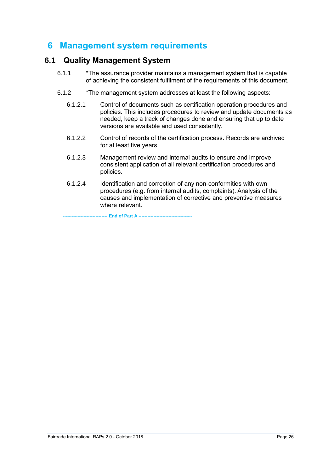# <span id="page-25-0"></span>**6 Management system requirements**

#### <span id="page-25-1"></span>**6.1 Quality Management System**

- 6.1.1 \*The assurance provider maintains a management system that is capable of achieving the consistent fulfilment of the requirements of this document.
- 6.1.2 \*The management system addresses at least the following aspects:
	- 6.1.2.1 Control of documents such as certification operation procedures and policies. This includes procedures to review and update documents as needed, keep a track of changes done and ensuring that up to date versions are available and used consistently.
	- 6.1.2.2 Control of records of the certification process. Records are archived for at least five years.
	- 6.1.2.3 Management review and internal audits to ensure and improve consistent application of all relevant certification procedures and policies.
	- 6.1.2.4 Identification and correction of any non-conformities with own procedures (e.g. from internal audits, complaints). Analysis of the causes and implementation of corrective and preventive measures where relevant.

--- **End of Part A -----**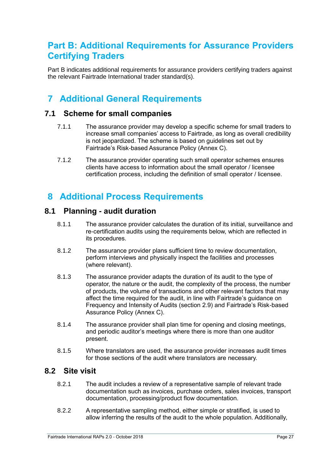# <span id="page-26-0"></span>**Part B: Additional Requirements for Assurance Providers Certifying Traders**

Part B indicates additional requirements for assurance providers certifying traders against the relevant Fairtrade International trader standard(s).

# <span id="page-26-1"></span>**7 Additional General Requirements**

### <span id="page-26-2"></span>**7.1 Scheme for small companies**

- 7.1.1 The assurance provider may develop a specific scheme for small traders to increase small companies' access to Fairtrade, as long as overall credibility is not jeopardized. The scheme is based on quidelines set out by Fairtrade's Risk-based Assurance Policy (Annex C).
- 7.1.2 The assurance provider operating such small operator schemes ensures clients have access to information about the small operator / licensee certification process, including the definition of small operator / licensee.

# <span id="page-26-3"></span>**8 Additional Process Requirements**

### <span id="page-26-4"></span>**8.1 Planning - audit duration**

- 8.1.1 The assurance provider calculates the duration of its initial, surveillance and re-certification audits using the requirements below, which are reflected in its procedures.
- 8.1.2 The assurance provider plans sufficient time to review documentation, perform interviews and physically inspect the facilities and processes (where relevant).
- 8.1.3 The assurance provider adapts the duration of its audit to the type of operator, the nature or the audit, the complexity of the process, the number of products, the volume of transactions and other relevant factors that may affect the time required for the audit, in line with Fairtrade's guidance on Frequency and Intensity of Audits (section 2.9) and Fairtrade's Risk-based Assurance Policy (Annex C).
- 8.1.4 The assurance provider shall plan time for opening and closing meetings, and periodic auditor's meetings where there is more than one auditor present.
- 8.1.5 Where translators are used, the assurance provider increases audit times for those sections of the audit where translators are necessary.

### <span id="page-26-5"></span>**8.2 Site visit**

- 8.2.1 The audit includes a review of a representative sample of relevant trade documentation such as invoices, purchase orders, sales invoices, transport documentation, processing/product flow documentation.
- 8.2.2 A representative sampling method, either simple or stratified, is used to allow inferring the results of the audit to the whole population. Additionally,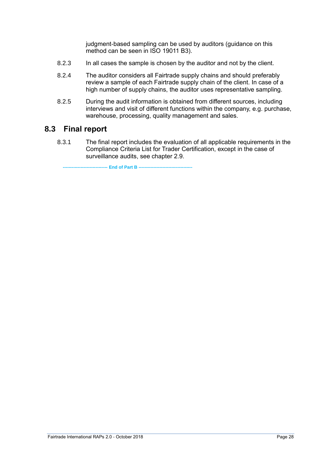judgment-based sampling can be used by auditors (guidance on this method can be seen in ISO 19011 B3).

- 8.2.3 In all cases the sample is chosen by the auditor and not by the client.
- 8.2.4 The auditor considers all Fairtrade supply chains and should preferably review a sample of each Fairtrade supply chain of the client. In case of a high number of supply chains, the auditor uses representative sampling.
- 8.2.5 During the audit information is obtained from different sources, including interviews and visit of different functions within the company, e.g. purchase, warehouse, processing, quality management and sales.

### <span id="page-27-0"></span>**8.3 Final report**

8.3.1 The final report includes the evaluation of all applicable requirements in the Compliance Criteria List for Trader Certification, except in the case of surveillance audits, see chapter 2.9.

**------------------------------ End of Part B ------------------------------------**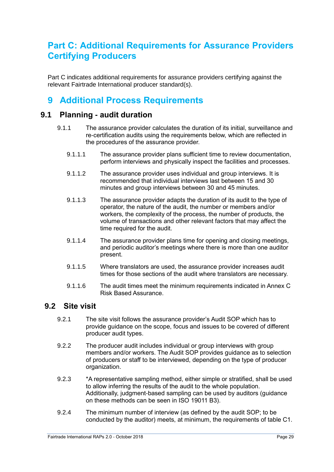# <span id="page-28-0"></span>**Part C: Additional Requirements for Assurance Providers Certifying Producers**

Part C indicates additional requirements for assurance providers certifying against the relevant Fairtrade International producer standard(s).

# <span id="page-28-1"></span>**9 Additional Process Requirements**

### <span id="page-28-2"></span>**9.1 Planning - audit duration**

- 9.1.1 The assurance provider calculates the duration of its initial, surveillance and re-certification audits using the requirements below, which are reflected in the procedures of the assurance provider.
	- 9.1.1.1 The assurance provider plans sufficient time to review documentation, perform interviews and physically inspect the facilities and processes.
	- 9.1.1.2 The assurance provider uses individual and group interviews. It is recommended that individual interviews last between 15 and 30 minutes and group interviews between 30 and 45 minutes.
	- 9.1.1.3 The assurance provider adapts the duration of its audit to the type of operator, the nature of the audit, the number or members and/or workers, the complexity of the process, the number of products, the volume of transactions and other relevant factors that may affect the time required for the audit.
	- 9.1.1.4 The assurance provider plans time for opening and closing meetings, and periodic auditor's meetings where there is more than one auditor present.
	- 9.1.1.5 Where translators are used, the assurance provider increases audit times for those sections of the audit where translators are necessary.
	- 9.1.1.6 The audit times meet the minimum requirements indicated in Annex C Risk Based Assurance.

### <span id="page-28-3"></span>**9.2 Site visit**

- 9.2.1 The site visit follows the assurance provider's Audit SOP which has to provide guidance on the scope, focus and issues to be covered of different producer audit types.
- 9.2.2 The producer audit includes individual or group interviews with group members and/or workers. The Audit SOP provides guidance as to selection of producers or staff to be interviewed, depending on the type of producer organization.
- 9.2.3 \*A representative sampling method, either simple or stratified, shall be used to allow inferring the results of the audit to the whole population. Additionally, judgment-based sampling can be used by auditors (guidance on these methods can be seen in ISO 19011 B3).
- 9.2.4 The minimum number of interview (as defined by the audit SOP; to be conducted by the auditor) meets, at minimum, the requirements of table C1.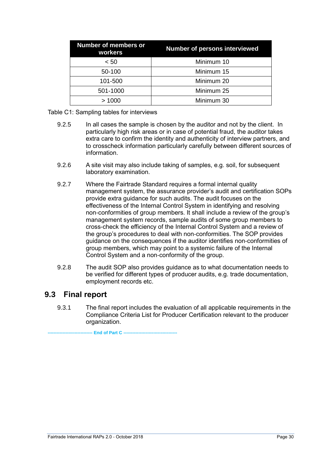| <b>Number of members or</b><br>workers | <b>Number of persons interviewed</b> |
|----------------------------------------|--------------------------------------|
| < 50                                   | Minimum 10                           |
| 50-100                                 | Minimum 15                           |
| 101-500                                | Minimum 20                           |
| 501-1000                               | Minimum 25                           |
| >1000                                  | Minimum 30                           |

Table C1: Sampling tables for interviews

- 9.2.5 In all cases the sample is chosen by the auditor and not by the client. In particularly high risk areas or in case of potential fraud, the auditor takes extra care to confirm the identity and authenticity of interview partners, and to crosscheck information particularly carefully between different sources of information.
- 9.2.6 A site visit may also include taking of samples, e.g. soil, for subsequent laboratory examination.
- 9.2.7 Where the Fairtrade Standard requires a formal internal quality management system, the assurance provider's audit and certification SOPs provide extra quidance for such audits. The audit focuses on the effectiveness of the Internal Control System in identifying and resolving non-conformities of group members. It shall include a review of the group's management system records, sample audits of some group members to cross-check the efficiency of the Internal Control System and a review of the group's procedures to deal with non-conformities. The SOP provides guidance on the consequences if the auditor identifies non-conformities of group members, which may point to a systemic failure of the Internal Control System and a non-conformity of the group.
- 9.2.8 The audit SOP also provides guidance as to what documentation needs to be verified for different types of producer audits, e.g. trade documentation, employment records etc.

### <span id="page-29-0"></span>**9.3 Final report**

9.3.1 The final report includes the evaluation of all applicable requirements in the Compliance Criteria List for Producer Certification relevant to the producer organization.

**End of Part C --**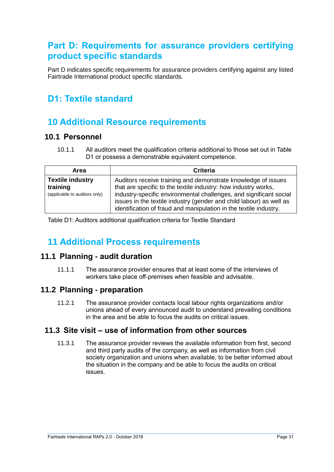# <span id="page-30-0"></span>**Part D: Requirements for assurance providers certifying product specific standards**

Part D indicates specific requirements for assurance providers certifying against any listed Fairtrade International product specific standards.

# <span id="page-30-1"></span>**D1: Textile standard**

# <span id="page-30-2"></span>**10 Additional Resource requirements**

#### <span id="page-30-3"></span>**10.1 Personnel**

10.1.1 All auditors meet the qualification criteria additional to those set out in Table D1 or possess a demonstrable equivalent competence.

| <b>Area</b>                                                          | <b>Criteria</b>                                                                                                                                                                                                                                                                                                                                   |
|----------------------------------------------------------------------|---------------------------------------------------------------------------------------------------------------------------------------------------------------------------------------------------------------------------------------------------------------------------------------------------------------------------------------------------|
| <b>Textile industry</b><br>training<br>(applicable to auditors only) | Auditors receive training and demonstrate knowledge of issues<br>that are specific to the textile industry: how industry works,<br>industry-specific environmental challenges, and significant social<br>issues in the textile industry (gender and child labour) as well as<br>identification of fraud and manipulation in the textile industry. |

Table D1: Auditors additional qualification criteria for Textile Standard

# <span id="page-30-4"></span>**11 Additional Process requirements**

### <span id="page-30-5"></span>**11.1 Planning - audit duration**

11.1.1 The assurance provider ensures that at least some of the interviews of workers take place off-premises when feasible and advisable.

### <span id="page-30-6"></span>**11.2 Planning - preparation**

11.2.1 The assurance provider contacts local labour rights organizations and/or unions ahead of every announced audit to understand prevailing conditions in the area and be able to focus the audits on critical issues.

### <span id="page-30-7"></span>**11.3 Site visit – use of information from other sources**

11.3.1 The assurance provider reviews the available information from first, second and third party audits of the company, as well as information from civil society organization and unions when available, to be better informed about the situation in the company and be able to focus the audits on critical issues.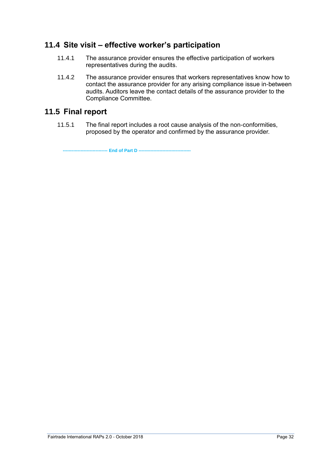### <span id="page-31-0"></span>**11.4 Site visit – effective worker's participation**

- 11.4.1 The assurance provider ensures the effective participation of workers representatives during the audits.
- 11.4.2 The assurance provider ensures that workers representatives know how to contact the assurance provider for any arising compliance issue in-between audits. Auditors leave the contact details of the assurance provider to the Compliance Committee.

### <span id="page-31-1"></span>**11.5 Final report**

11.5.1 The final report includes a root cause analysis of the non-conformities, proposed by the operator and confirmed by the assurance provider.

**-- End of Part D --**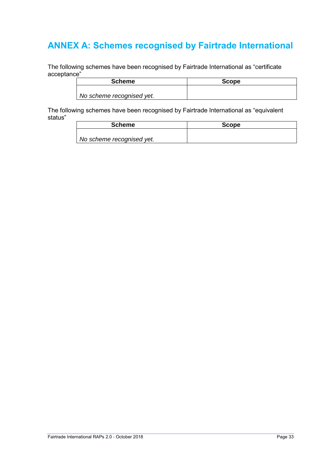# <span id="page-32-0"></span>**ANNEX A: Schemes recognised by Fairtrade International**

The following schemes have been recognised by Fairtrade International as "certificate acceptance"

| <b>Scheme</b>             | Scope |
|---------------------------|-------|
|                           |       |
| No scheme recognised yet. |       |

The following schemes have been recognised by Fairtrade International as "equivalent status"

| <b>Scheme</b>             | <b>Scope</b> |
|---------------------------|--------------|
|                           |              |
| No scheme recognised yet. |              |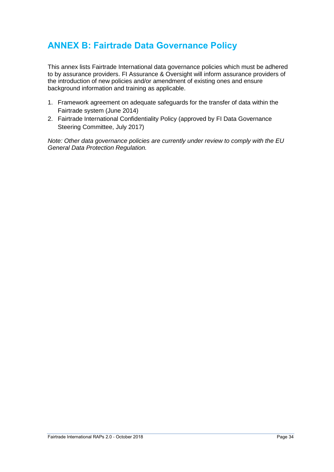# <span id="page-33-0"></span>**ANNEX B: Fairtrade Data Governance Policy**

This annex lists Fairtrade International data governance policies which must be adhered to by assurance providers. FI Assurance & Oversight will inform assurance providers of the introduction of new policies and/or amendment of existing ones and ensure background information and training as applicable.

- 1. Framework agreement on adequate safeguards for the transfer of data within the Fairtrade system (June 2014)
- 2. Fairtrade International Confidentiality Policy (approved by FI Data Governance Steering Committee, July 2017)

*Note: Other data governance policies are currently under review to comply with the EU General Data Protection Regulation.*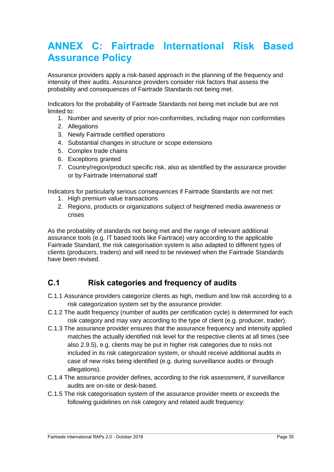# <span id="page-34-0"></span>**ANNEX C: Fairtrade International Risk Based Assurance Policy**

Assurance providers apply a risk-based approach in the planning of the frequency and intensity of their audits. Assurance providers consider risk factors that assess the probability and consequences of Fairtrade Standards not being met.

Indicators for the probability of Fairtrade Standards not being met include but are not limited to:

- 1. Number and severity of prior non-conformities, including major non conformities
- 2. Allegations
- 3. Newly Fairtrade certified operations
- 4. Substantial changes in structure or scope extensions
- 5. Complex trade chains
- 6. Exceptions granted
- 7. Country/region/product specific risk, also as identified by the assurance provider or by Fairtrade International staff

Indicators for particularly serious consequences if Fairtrade Standards are not met:

- 1. High premium value transactions
- 2. Regions, products or organizations subject of heightened media awareness or crises

As the probability of standards not being met and the range of relevant additional assurance tools (e.g. IT based tools like Fairtrace) vary according to the applicable Fairtrade Standard, the risk categorisation system is also adapted to different types of clients (producers, traders) and will need to be reviewed when the Fairtrade Standards have been revised.

### <span id="page-34-1"></span>**C.1 Risk categories and frequency of audits**

- C.1.1 Assurance providers categorize clients as high, medium and low risk according to a risk categorization system set by the assurance provider.
- C.1.2 The audit frequency (number of audits per certification cycle) is determined for each risk category and may vary according to the type of client (e.g. producer, trader).
- C.1.3 The assurance provider ensures that the assurance frequency and intensity applied matches the actually identified risk level for the respective clients at all times (see also 2.9.5), e.g. clients may be put in higher risk categories due to risks not included in its risk categorization system, or should receive additional audits in case of new risks being identified (e.g. during surveillance audits or through allegations).
- C.1.4 The assurance provider defines, according to the risk assessment, if surveillance audits are on-site or desk-based.
- C.1.5 The risk categorisation system of the assurance provider meets or exceeds the following guidelines on risk category and related audit frequency: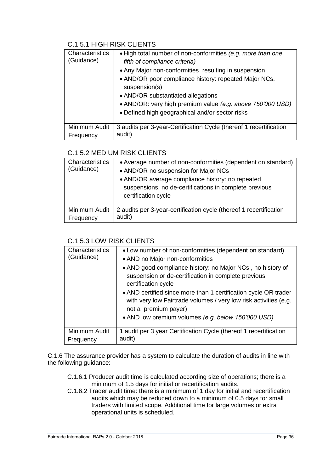### C.1.5.1 HIGH RISK CLIENTS

| Characteristics<br>(Guidance) | • High total number of non-conformities (e.g. more than one<br>fifth of compliance criteria)<br>• Any Major non-conformities resulting in suspension<br>• AND/OR poor compliance history: repeated Major NCs,<br>suspension(s)<br>• AND/OR substantiated allegations<br>• AND/OR: very high premium value (e.g. above 750'000 USD)<br>• Defined high geographical and/or sector risks |
|-------------------------------|---------------------------------------------------------------------------------------------------------------------------------------------------------------------------------------------------------------------------------------------------------------------------------------------------------------------------------------------------------------------------------------|
| Minimum Audit<br>Frequency    | 3 audits per 3-year-Certification Cycle (thereof 1 recertification<br>audit)                                                                                                                                                                                                                                                                                                          |

#### C.1.5.2 MEDIUM RISK CLIENTS

| Characteristics<br>(Guidance) | • Average number of non-conformities (dependent on standard)<br>• AND/OR no suspension for Major NCs<br>• AND/OR average compliance history: no repeated<br>suspensions, no de-certifications in complete previous<br>certification cycle |
|-------------------------------|-------------------------------------------------------------------------------------------------------------------------------------------------------------------------------------------------------------------------------------------|
| Minimum Audit                 | 2 audits per 3-year-certification cycle (thereof 1 recertification                                                                                                                                                                        |
| Frequency                     | audit)                                                                                                                                                                                                                                    |

#### C.1.5.3 LOW RISK CLIENTS

| Characteristics<br>(Guidance) | • Low number of non-conformities (dependent on standard)<br>• AND no Major non-conformities<br>• AND good compliance history: no Major NCs, no history of<br>suspension or de-certification in complete previous<br>certification cycle<br>• AND certified since more than 1 certification cycle OR trader<br>with very low Fairtrade volumes / very low risk activities (e.g.<br>not a premium payer)<br>• AND low premium volumes (e.g. below 150'000 USD) |
|-------------------------------|--------------------------------------------------------------------------------------------------------------------------------------------------------------------------------------------------------------------------------------------------------------------------------------------------------------------------------------------------------------------------------------------------------------------------------------------------------------|
| Minimum Audit                 | 1 audit per 3 year Certification Cycle (thereof 1 recertification                                                                                                                                                                                                                                                                                                                                                                                            |
| Frequency                     | audit)                                                                                                                                                                                                                                                                                                                                                                                                                                                       |

C.1.6 The assurance provider has a system to calculate the duration of audits in line with the following guidance:

- C.1.6.1 Producer audit time is calculated according size of operations; there is a minimum of 1.5 days for initial or recertification audits.
- C.1.6.2 Trader audit time: there is a minimum of 1 day for initial and recertification audits which may be reduced down to a minimum of 0.5 days for small traders with limited scope. Additional time for large volumes or extra operational units is scheduled.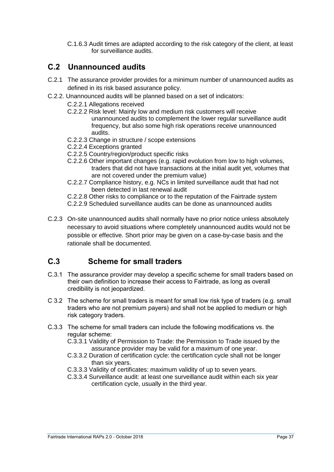C.1.6.3 Audit times are adapted according to the risk category of the client, at least for surveillance audits.

### <span id="page-36-0"></span>**C.2 Unannounced audits**

- C.2.1 The assurance provider provides for a minimum number of unannounced audits as defined in its risk based assurance policy.
- C.2.2. Unannounced audits will be planned based on a set of indicators:
	- C.2.2.1 Allegations received
		- C.2.2.2 Risk level: Mainly low and medium risk customers will receive unannounced audits to complement the lower regular surveillance audit frequency, but also some high risk operations receive unannounced audits.
		- C.2.2.3 Change in structure / scope extensions
		- C.2.2.4 Exceptions granted
		- C.2.2.5 Country/region/product specific risks
	- C.2.2.6 Other important changes (e.g. rapid evolution from low to high volumes, traders that did not have transactions at the initial audit yet, volumes that are not covered under the premium value)
	- C.2.2.7 Compliance history, e.g. NCs in limited surveillance audit that had not been detected in last renewal audit
	- C.2.2.8 Other risks to compliance or to the reputation of the Fairtrade system
	- C.2.2.9 Scheduled surveillance audits can be done as unannounced audits
- C.2.3 On-site unannounced audits shall normally have no prior notice unless absolutely necessary to avoid situations where completely unannounced audits would not be possible or effective. Short prior may be given on a case-by-case basis and the rationale shall be documented.

### <span id="page-36-1"></span>**C.3 Scheme for small traders**

- C.3.1 The assurance provider may develop a specific scheme for small traders based on their own definition to increase their access to Fairtrade, as long as overall credibility is not jeopardized.
- C 3.2 The scheme for small traders is meant for small low risk type of traders (e.g. small traders who are not premium payers) and shall not be applied to medium or high risk category traders.
- C.3.3 The scheme for small traders can include the following modifications vs. the regular scheme:
	- C.3.3.1 Validity of Permission to Trade: the Permission to Trade issued by the assurance provider may be valid for a maximum of one year.
	- C.3.3.2 Duration of certification cycle: the certification cycle shall not be longer than six years.
	- C.3.3.3 Validity of certificates: maximum validity of up to seven years.
	- C.3.3.4 Surveillance audit: at least one surveillance audit within each six year certification cycle, usually in the third year.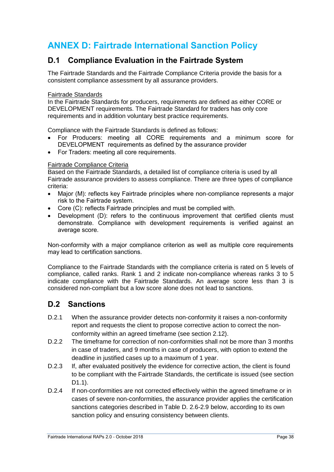# <span id="page-37-0"></span>**ANNEX D: Fairtrade International Sanction Policy**

### <span id="page-37-1"></span>**D.1 Compliance Evaluation in the Fairtrade System**

The Fairtrade Standards and the Fairtrade Compliance Criteria provide the basis for a consistent compliance assessment by all assurance providers.

#### Fairtrade Standards

In the Fairtrade Standards for producers, requirements are defined as either CORE or DEVELOPMENT requirements. The Fairtrade Standard for traders has only core requirements and in addition voluntary best practice requirements.

Compliance with the Fairtrade Standards is defined as follows:

- For Producers: meeting all CORE requirements and a minimum score for DEVELOPMENT requirements as defined by the assurance provider
- For Traders: meeting all core requirements.

#### Fairtrade Compliance Criteria

Based on the Fairtrade Standards, a detailed list of compliance criteria is used by all Fairtrade assurance providers to assess compliance. There are three types of compliance criteria:

- Major (M): reflects key Fairtrade principles where non-compliance represents a major risk to the Fairtrade system.
- Core (C): reflects Fairtrade principles and must be complied with.
- Development (D): refers to the continuous improvement that certified clients must demonstrate. Compliance with development requirements is verified against an average score.

Non-conformity with a major compliance criterion as well as multiple core requirements may lead to certification sanctions.

Compliance to the Fairtrade Standards with the compliance criteria is rated on 5 levels of compliance, called ranks. Rank 1 and 2 indicate non-compliance whereas ranks 3 to 5 indicate compliance with the Fairtrade Standards. An average score less than 3 is considered non-compliant but a low score alone does not lead to sanctions.

### <span id="page-37-2"></span>**D.2 Sanctions**

- D.2.1 When the assurance provider detects non-conformity it raises a non-conformity report and requests the client to propose corrective action to correct the nonconformity within an agreed timeframe (see section 2.12).
- D.2.2 The timeframe for correction of non-conformities shall not be more than 3 months in case of traders, and 9 months in case of producers, with option to extend the deadline in justified cases up to a maximum of 1 year.
- D.2.3 If, after evaluated positively the evidence for corrective action, the client is found to be compliant with the Fairtrade Standards, the certificate is issued (see section D1.1).
- D.2.4 If non-conformities are not corrected effectively within the agreed timeframe or in cases of severe non-conformities, the assurance provider applies the certification sanctions categories described in Table D. 2.6-2.9 below, according to its own sanction policy and ensuring consistency between clients.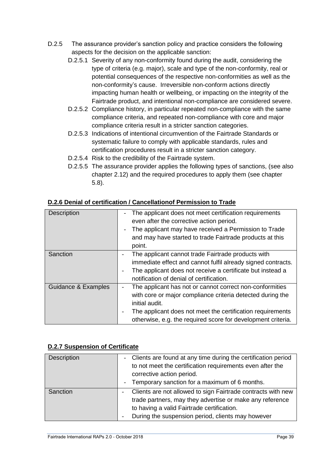- D.2.5 The assurance provider's sanction policy and practice considers the following aspects for the decision on the applicable sanction:
	- D.2.5.1 Severity of any non-conformity found during the audit, considering the type of criteria (e.g. major), scale and type of the non-conformity, real or potential consequences of the respective non-conformities as well as the non-conformity's cause. Irreversible non-conform actions directly impacting human health or wellbeing, or impacting on the integrity of the Fairtrade product, and intentional non-compliance are considered severe.
	- D.2.5.2 Compliance history, in particular repeated non-compliance with the same compliance criteria, and repeated non-compliance with core and major compliance criteria result in a stricter sanction categories.
	- D.2.5.3 Indications of intentional circumvention of the Fairtrade Standards or systematic failure to comply with applicable standards, rules and certification procedures result in a stricter sanction category.
	- D.2.5.4 Risk to the credibility of the Fairtrade system.
	- D.2.5.5 The assurance provider applies the following types of sanctions, (see also chapter 2.12) and the required procedures to apply them (see chapter 5.8).

| <b>Description</b>  | The applicant does not meet certification requirements<br>even after the corrective action period.<br>The applicant may have received a Permission to Trade<br>and may have started to trade Fairtrade products at this<br>point.                                                    |
|---------------------|--------------------------------------------------------------------------------------------------------------------------------------------------------------------------------------------------------------------------------------------------------------------------------------|
| Sanction            | The applicant cannot trade Fairtrade products with<br>$\overline{\phantom{0}}$<br>immediate effect and cannot fulfil already signed contracts.<br>The applicant does not receive a certificate but instead a<br>$\overline{\phantom{a}}$<br>notification of denial of certification. |
| Guidance & Examples | The applicant has not or cannot correct non-conformities<br>with core or major compliance criteria detected during the<br>initial audit.<br>The applicant does not meet the certification requirements<br>otherwise, e.g. the required score for development criteria.               |

#### **D.2.6 Denial of certification / Cancellationof Permission to Trade**

#### **D.2.7 Suspension of Certificate**

| <b>Description</b> | - Clients are found at any time during the certification period<br>to not meet the certification requirements even after the<br>corrective action period.<br>- Temporary sanction for a maximum of 6 months.                |
|--------------------|-----------------------------------------------------------------------------------------------------------------------------------------------------------------------------------------------------------------------------|
| Sanction           | Clients are not allowed to sign Fairtrade contracts with new<br>trade partners, may they advertise or make any reference<br>to having a valid Fairtrade certification.<br>During the suspension period, clients may however |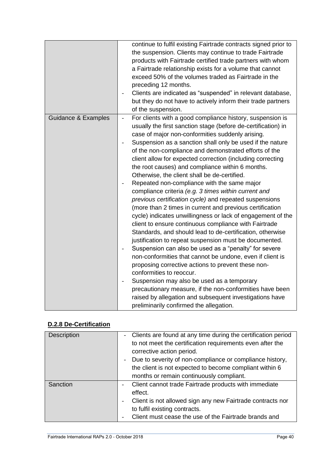|                                | continue to fulfil existing Fairtrade contracts signed prior to<br>the suspension. Clients may continue to trade Fairtrade<br>products with Fairtrade certified trade partners with whom<br>a Fairtrade relationship exists for a volume that cannot<br>exceed 50% of the volumes traded as Fairtrade in the<br>preceding 12 months.<br>Clients are indicated as "suspended" in relevant database,<br>but they do not have to actively inform their trade partners<br>of the suspension.                                                                                                                                                                                                                                                                                                                                                                                                                                                                                                                                                                                                                                                                                                                                                                                                                                                                                                    |
|--------------------------------|---------------------------------------------------------------------------------------------------------------------------------------------------------------------------------------------------------------------------------------------------------------------------------------------------------------------------------------------------------------------------------------------------------------------------------------------------------------------------------------------------------------------------------------------------------------------------------------------------------------------------------------------------------------------------------------------------------------------------------------------------------------------------------------------------------------------------------------------------------------------------------------------------------------------------------------------------------------------------------------------------------------------------------------------------------------------------------------------------------------------------------------------------------------------------------------------------------------------------------------------------------------------------------------------------------------------------------------------------------------------------------------------|
| <b>Guidance &amp; Examples</b> | For clients with a good compliance history, suspension is<br>$\frac{1}{2}$<br>usually the first sanction stage (before de-certification) in<br>case of major non-conformities suddenly arising.<br>Suspension as a sanction shall only be used if the nature<br>of the non-compliance and demonstrated efforts of the<br>client allow for expected correction (including correcting<br>the root causes) and compliance within 6 months.<br>Otherwise, the client shall be de-certified.<br>Repeated non-compliance with the same major<br>compliance criteria (e.g. 3 times within current and<br>previous certification cycle) and repeated suspensions<br>(more than 2 times in current and previous certification<br>cycle) indicates unwillingness or lack of engagement of the<br>client to ensure continuous compliance with Fairtrade<br>Standards, and should lead to de-certification, otherwise<br>justification to repeat suspension must be documented.<br>Suspension can also be used as a "penalty" for severe<br>non-conformities that cannot be undone, even if client is<br>proposing corrective actions to prevent these non-<br>conformities to reoccur.<br>Suspension may also be used as a temporary<br>precautionary measure, if the non-conformities have been<br>raised by allegation and subsequent investigations have<br>preliminarily confirmed the allegation. |

### **D.2.8 De-Certification**

| <b>Description</b> | - Clients are found at any time during the certification period |
|--------------------|-----------------------------------------------------------------|
|                    | to not meet the certification requirements even after the       |
|                    | corrective action period.                                       |
|                    | Due to severity of non-compliance or compliance history,        |
|                    | the client is not expected to become compliant within 6         |
|                    | months or remain continuously compliant.                        |
| Sanction           | Client cannot trade Fairtrade products with immediate<br>$\sim$ |
|                    | effect.                                                         |
|                    | Client is not allowed sign any new Fairtrade contracts nor      |
|                    | to fulfil existing contracts.                                   |
|                    | Client must cease the use of the Fairtrade brands and           |
|                    |                                                                 |